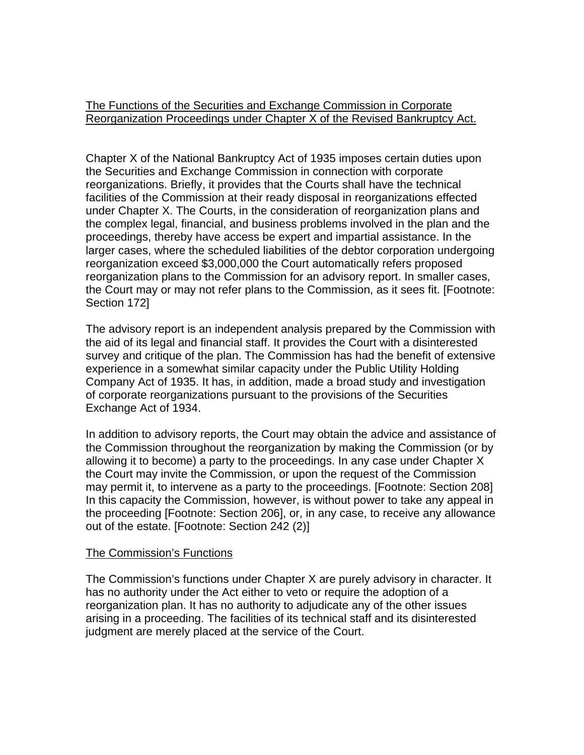The Functions of the Securities and Exchange Commission in Corporate Reorganization Proceedings under Chapter X of the Revised Bankruptcy Act.

Chapter X of the National Bankruptcy Act of 1935 imposes certain duties upon the Securities and Exchange Commission in connection with corporate reorganizations. Briefly, it provides that the Courts shall have the technical facilities of the Commission at their ready disposal in reorganizations effected under Chapter X. The Courts, in the consideration of reorganization plans and the complex legal, financial, and business problems involved in the plan and the proceedings, thereby have access be expert and impartial assistance. In the larger cases, where the scheduled liabilities of the debtor corporation undergoing reorganization exceed \$3,000,000 the Court automatically refers proposed reorganization plans to the Commission for an advisory report. In smaller cases, the Court may or may not refer plans to the Commission, as it sees fit. [Footnote: Section 172]

The advisory report is an independent analysis prepared by the Commission with the aid of its legal and financial staff. It provides the Court with a disinterested survey and critique of the plan. The Commission has had the benefit of extensive experience in a somewhat similar capacity under the Public Utility Holding Company Act of 1935. It has, in addition, made a broad study and investigation of corporate reorganizations pursuant to the provisions of the Securities Exchange Act of 1934.

In addition to advisory reports, the Court may obtain the advice and assistance of the Commission throughout the reorganization by making the Commission (or by allowing it to become) a party to the proceedings. In any case under Chapter X the Court may invite the Commission, or upon the request of the Commission may permit it, to intervene as a party to the proceedings. [Footnote: Section 208] In this capacity the Commission, however, is without power to take any appeal in the proceeding [Footnote: Section 206], or, in any case, to receive any allowance out of the estate. [Footnote: Section 242 (2)]

## The Commission's Functions

The Commission's functions under Chapter X are purely advisory in character. It has no authority under the Act either to veto or require the adoption of a reorganization plan. It has no authority to adjudicate any of the other issues arising in a proceeding. The facilities of its technical staff and its disinterested judgment are merely placed at the service of the Court.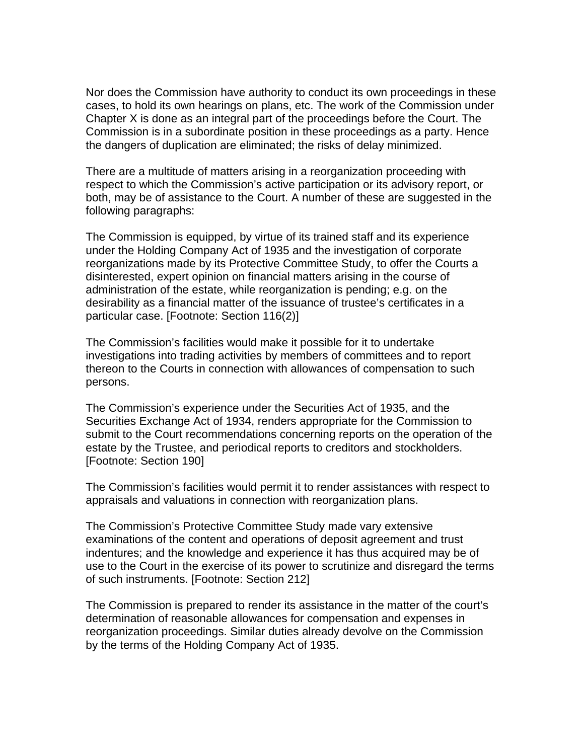Nor does the Commission have authority to conduct its own proceedings in these cases, to hold its own hearings on plans, etc. The work of the Commission under Chapter X is done as an integral part of the proceedings before the Court. The Commission is in a subordinate position in these proceedings as a party. Hence the dangers of duplication are eliminated; the risks of delay minimized.

There are a multitude of matters arising in a reorganization proceeding with respect to which the Commission's active participation or its advisory report, or both, may be of assistance to the Court. A number of these are suggested in the following paragraphs:

The Commission is equipped, by virtue of its trained staff and its experience under the Holding Company Act of 1935 and the investigation of corporate reorganizations made by its Protective Committee Study, to offer the Courts a disinterested, expert opinion on financial matters arising in the course of administration of the estate, while reorganization is pending; e.g. on the desirability as a financial matter of the issuance of trustee's certificates in a particular case. [Footnote: Section 116(2)]

The Commission's facilities would make it possible for it to undertake investigations into trading activities by members of committees and to report thereon to the Courts in connection with allowances of compensation to such persons.

The Commission's experience under the Securities Act of 1935, and the Securities Exchange Act of 1934, renders appropriate for the Commission to submit to the Court recommendations concerning reports on the operation of the estate by the Trustee, and periodical reports to creditors and stockholders. [Footnote: Section 190]

The Commission's facilities would permit it to render assistances with respect to appraisals and valuations in connection with reorganization plans.

The Commission's Protective Committee Study made vary extensive examinations of the content and operations of deposit agreement and trust indentures; and the knowledge and experience it has thus acquired may be of use to the Court in the exercise of its power to scrutinize and disregard the terms of such instruments. [Footnote: Section 212]

The Commission is prepared to render its assistance in the matter of the court's determination of reasonable allowances for compensation and expenses in reorganization proceedings. Similar duties already devolve on the Commission by the terms of the Holding Company Act of 1935.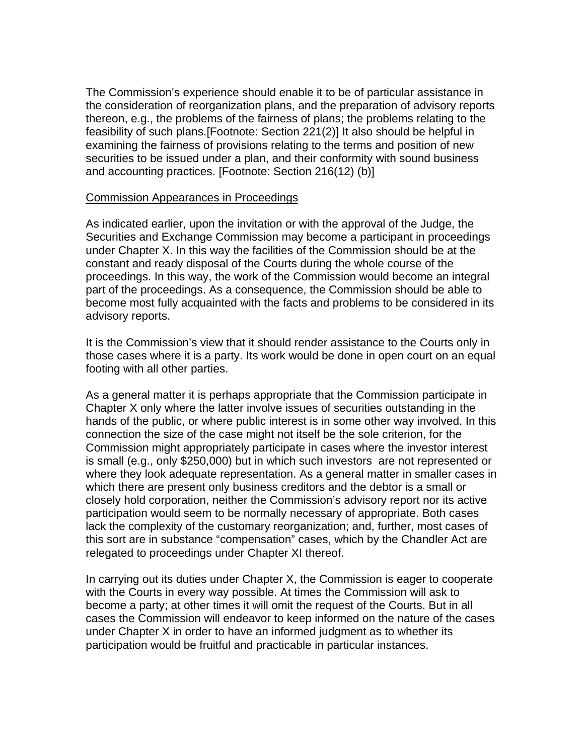The Commission's experience should enable it to be of particular assistance in the consideration of reorganization plans, and the preparation of advisory reports thereon, e.g., the problems of the fairness of plans; the problems relating to the feasibility of such plans.[Footnote: Section 221(2)] It also should be helpful in examining the fairness of provisions relating to the terms and position of new securities to be issued under a plan, and their conformity with sound business and accounting practices. [Footnote: Section 216(12) (b)]

## Commission Appearances in Proceedings

As indicated earlier, upon the invitation or with the approval of the Judge, the Securities and Exchange Commission may become a participant in proceedings under Chapter X. In this way the facilities of the Commission should be at the constant and ready disposal of the Courts during the whole course of the proceedings. In this way, the work of the Commission would become an integral part of the proceedings. As a consequence, the Commission should be able to become most fully acquainted with the facts and problems to be considered in its advisory reports.

It is the Commission's view that it should render assistance to the Courts only in those cases where it is a party. Its work would be done in open court on an equal footing with all other parties.

As a general matter it is perhaps appropriate that the Commission participate in Chapter X only where the latter involve issues of securities outstanding in the hands of the public, or where public interest is in some other way involved. In this connection the size of the case might not itself be the sole criterion, for the Commission might appropriately participate in cases where the investor interest is small (e.g., only \$250,000) but in which such investors are not represented or where they look adequate representation. As a general matter in smaller cases in which there are present only business creditors and the debtor is a small or closely hold corporation, neither the Commission's advisory report nor its active participation would seem to be normally necessary of appropriate. Both cases lack the complexity of the customary reorganization; and, further, most cases of this sort are in substance "compensation" cases, which by the Chandler Act are relegated to proceedings under Chapter XI thereof.

In carrying out its duties under Chapter X, the Commission is eager to cooperate with the Courts in every way possible. At times the Commission will ask to become a party; at other times it will omit the request of the Courts. But in all cases the Commission will endeavor to keep informed on the nature of the cases under Chapter X in order to have an informed judgment as to whether its participation would be fruitful and practicable in particular instances.